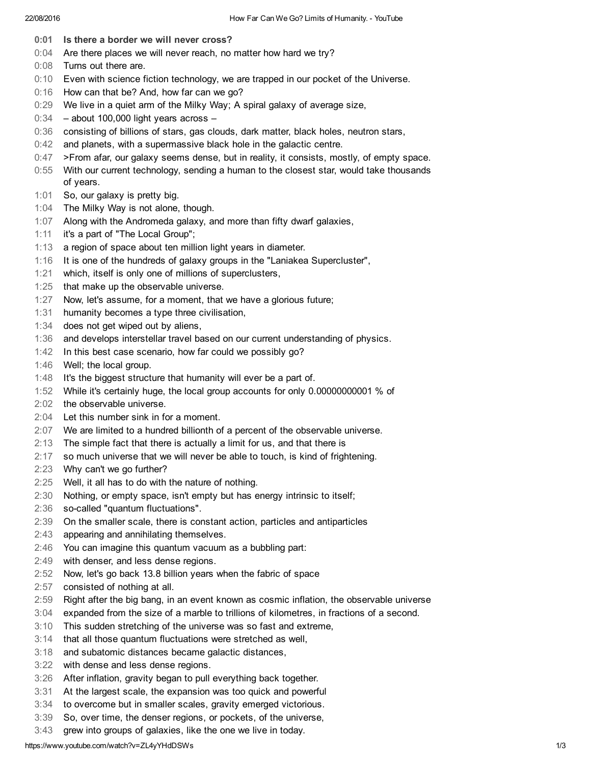- 0:01 Is there a border we will never cross?
- 0:04 Are there places we will never reach, no matter how hard we try?
- 0:08 Turns out there are.
- 0:10 Even with science fiction technology, we are trapped in our pocket of the Universe.
- 0:16 How can that be? And, how far can we go?
- 0:29 We live in a quiet arm of the Milky Way; A spiral galaxy of average size,
- 0:34 about 100,000 light years across –
- 0:36 consisting of billions of stars, gas clouds, dark matter, black holes, neutron stars,
- 0:42 and planets, with a supermassive black hole in the galactic centre.
- 0:47 >From afar, our galaxy seems dense, but in reality, it consists, mostly, of empty space.
- 0:55 With our current technology, sending a human to the closest star, would take thousands of years.
- 1:01 So, our galaxy is pretty big.
- 1:04 The Milky Way is not alone, though.
- 1:07 Along with the Andromeda galaxy, and more than fifty dwarf galaxies,
- 1:11 it's a part of "The Local Group";
- 1:13 a region of space about ten million light years in diameter.
- 1:16 It is one of the hundreds of galaxy groups in the "Laniakea Supercluster",
- 1:21 which, itself is only one of millions of superclusters,
- 1:25 that make up the observable universe.
- 1:27 Now, let's assume, for a moment, that we have a glorious future;
- 1:31 humanity becomes a type three civilisation,
- 1:34 does not get wiped out by aliens,
- 1:36 and develops interstellar travel based on our current understanding of physics.
- 1:42 In this best case scenario, how far could we possibly go?
- 1:46 Well; the local group.
- 1:48 It's the biggest structure that humanity will ever be a part of.
- 1:52 While it's certainly huge, the local group accounts for only 0.00000000001 % of
- 2:02 the observable universe.
- 2:04 Let this number sink in for a moment.
- 2:07 We are limited to a hundred billionth of a percent of the observable universe.
- 2:13 The simple fact that there is actually a limit for us, and that there is
- 2:17 so much universe that we will never be able to touch, is kind of frightening.
- 2:23 Why can't we go further?
- 2:25 Well, it all has to do with the nature of nothing.
- 2:30 Nothing, or empty space, isn't empty but has energy intrinsic to itself;
- 2:36 so-called "quantum fluctuations".
- 2:39 On the smaller scale, there is constant action, particles and antiparticles
- 2:43 appearing and annihilating themselves.
- 2:46 You can imagine this quantum vacuum as a bubbling part:
- 2:49 with denser, and less dense regions.
- 2:52 Now, let's go back 13.8 billion years when the fabric of space
- 2:57 consisted of nothing at all.
- 2:59 Right after the big bang, in an event known as cosmic inflation, the observable universe
- 3:04 expanded from the size of a marble to trillions of kilometres, in fractions of a second.
- 3:10 This sudden stretching of the universe was so fast and extreme,
- 3:14 that all those quantum fluctuations were stretched as well,
- 3:18 and subatomic distances became galactic distances,
- 3:22 with dense and less dense regions.
- 3:26 After inflation, gravity began to pull everything back together.
- 3:31 At the largest scale, the expansion was too quick and powerful
- 3:34 to overcome but in smaller scales, gravity emerged victorious.
- 3:39 So, over time, the denser regions, or pockets, of the universe,
- 3:43 grew into groups of galaxies, like the one we live in today.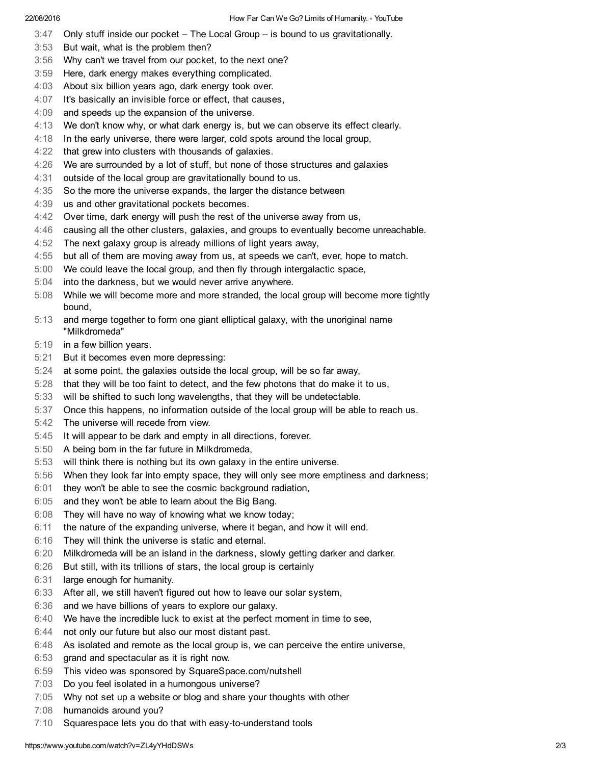- 3:47 Only stuff inside our pocket The Local Group is bound to us gravitationally.
- 3:53 But wait, what is the problem then?
- 3:56 Why can't we travel from our pocket, to the next one?
- 3:59 Here, dark energy makes everything complicated.
- 4:03 About six billion years ago, dark energy took over.
- 4:07 It's basically an invisible force or effect, that causes,
- 4:09 and speeds up the expansion of the universe.
- 4:13 We don't know why, or what dark energy is, but we can observe its effect clearly.
- 4:18 In the early universe, there were larger, cold spots around the local group,
- 4:22 that grew into clusters with thousands of galaxies.
- 4:26 We are surrounded by a lot of stuff, but none of those structures and galaxies
- 4:31 outside of the local group are gravitationally bound to us.
- 4:35 So the more the universe expands, the larger the distance between
- 4:39 us and other gravitational pockets becomes.
- 4:42 Over time, dark energy will push the rest of the universe away from us,
- 4:46 causing all the other clusters, galaxies, and groups to eventually become unreachable.
- 4:52 The next galaxy group is already millions of light years away,
- 4:55 but all of them are moving away from us, at speeds we can't, ever, hope to match.
- 5:00 We could leave the local group, and then fly through intergalactic space,
- 5:04 into the darkness, but we would never arrive anywhere.
- 5:08 While we will become more and more stranded, the local group will become more tightly bound,
- 5:13 and merge together to form one giant elliptical galaxy, with the unoriginal name "Milkdromeda"
- 5:19 in a few billion years.
- 5:21 But it becomes even more depressing:
- 5:24 at some point, the galaxies outside the local group, will be so far away,
- 5:28 that they will be too faint to detect, and the few photons that do make it to us,
- 5:33 will be shifted to such long wavelengths, that they will be undetectable.
- 5:37 Once this happens, no information outside of the local group will be able to reach us.
- 5:42 The universe will recede from view.
- 5:45 It will appear to be dark and empty in all directions, forever.
- 5:50 A being born in the far future in Milkdromeda,
- 5:53 will think there is nothing but its own galaxy in the entire universe.
- 5:56 When they look far into empty space, they will only see more emptiness and darkness;
- 6:01 they won't be able to see the cosmic background radiation,
- 6:05 and they won't be able to learn about the Big Bang.
- 6:08 They will have no way of knowing what we know today;
- 6:11 the nature of the expanding universe, where it began, and how it will end.
- 6:16 They will think the universe is static and eternal.
- 6:20 Milkdromeda will be an island in the darkness, slowly getting darker and darker.
- 6:26 But still, with its trillions of stars, the local group is certainly
- 6:31 large enough for humanity.
- 6:33 After all, we still haven't figured out how to leave our solar system,
- 6:36 and we have billions of years to explore our galaxy.
- 6:40 We have the incredible luck to exist at the perfect moment in time to see,
- 6:44 not only our future but also our most distant past.
- 6:48 As isolated and remote as the local group is, we can perceive the entire universe,
- 6:53 grand and spectacular as it is right now.
- 6:59 This video was sponsored by SquareSpace.com/nutshell
- 7:03 Do you feel isolated in a humongous universe?
- 7:05 Why not set up a website or blog and share your thoughts with other
- 7:08 humanoids around you?
- 7:10 Squarespace lets you do that with easy-to-understand tools